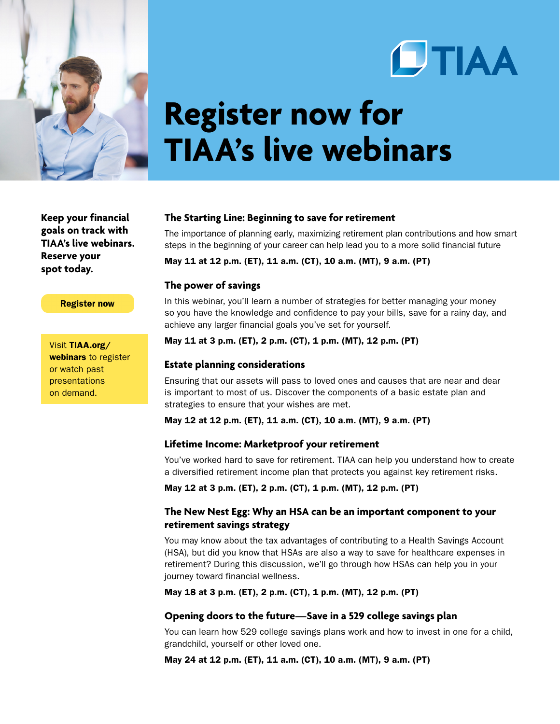



# **Register now for TIAA's live webinars**

**Keep your financial goals on track with TIAA's live webinars. Reserve your spot today.**

#### **Register now**

Visit [TIAA.org/](http://www.tiaa.org/webinars) [webinars](http://www.tiaa.org/webinars) to register or watch past presentations on demand.

#### **The Starting Line: Beginning to save for retirement**

The importance of planning early, maximizing retirement plan contributions and how smart steps in the beginning of your career can help lead you to a more solid financial future

May 11 at 12 p.m. (ET), 11 a.m. (CT), 10 a.m. (MT), 9 a.m. (PT)

## **The power of savings**

In this webinar, you'll learn a number of strategies for better managing your money so you have the knowledge and confidence to pay your bills, save for a rainy day, and achieve any larger financial goals you've set for yourself.

May 11 at 3 p.m. (ET), 2 p.m. (CT), 1 p.m. (MT), 12 p.m. (PT)

### **Estate planning considerations**

Ensuring that our assets will pass to loved ones and causes that are near and dear is important to most of us. Discover the components of a basic estate plan and strategies to ensure that your wishes are met.

May 12 at 12 p.m. (ET), 11 a.m. (CT), 10 a.m. (MT), 9 a.m. (PT)

#### **Lifetime Income: Marketproof your retirement**

You've worked hard to save for retirement. TIAA can help you understand how to create a diversified retirement income plan that protects you against key retirement risks.

May 12 at 3 p.m. (ET), 2 p.m. (CT), 1 p.m. (MT), 12 p.m. (PT)

# **The New Nest Egg: Why an HSA can be an important component to your retirement savings strategy**

You may know about the tax advantages of contributing to a Health Savings Account (HSA), but did you know that HSAs are also a way to save for healthcare expenses in retirement? During this discussion, we'll go through how HSAs can help you in your journey toward financial wellness.

May 18 at 3 p.m. (ET), 2 p.m. (CT), 1 p.m. (MT), 12 p.m. (PT)

## **Opening doors to the future—Save in a 529 college savings plan**

You can learn how 529 college savings plans work and how to invest in one for a child, grandchild, yourself or other loved one.

May 24 at 12 p.m. (ET), 11 a.m. (CT), 10 a.m. (MT), 9 a.m. (PT)